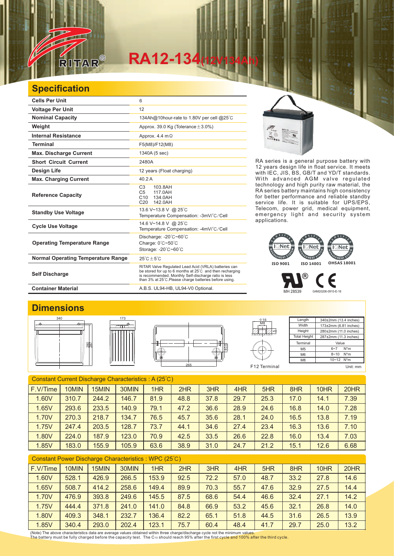

# **RA12-134(12V134Ah)**

### **Specification**

| <b>Cells Per Unit</b>                     | 6                                                                                                                                                                                                                                  |
|-------------------------------------------|------------------------------------------------------------------------------------------------------------------------------------------------------------------------------------------------------------------------------------|
| <b>Voltage Per Unit</b>                   | 12                                                                                                                                                                                                                                 |
| <b>Nominal Capacity</b>                   | 134Ah@10hour-rate to 1.80V per cell @25°C                                                                                                                                                                                          |
| Weight                                    | Approx. 39.0 Kg (Tolerance $\pm$ 3.0%)                                                                                                                                                                                             |
| <b>Internal Resistance</b>                | Approx. 4.4 $m\Omega$                                                                                                                                                                                                              |
| <b>Terminal</b>                           | F5(M8)/F12(M8)                                                                                                                                                                                                                     |
| <b>Max. Discharge Current</b>             | 1340A (5 sec)                                                                                                                                                                                                                      |
| <b>Short Circuit Current</b>              | 2480A                                                                                                                                                                                                                              |
| <b>Design Life</b>                        | 12 years (Float charging)                                                                                                                                                                                                          |
| <b>Max. Charging Current</b>              | 40.2A                                                                                                                                                                                                                              |
| <b>Reference Capacity</b>                 | C <sub>3</sub><br>103.8AH<br>C <sub>5</sub><br>117.0AH<br>C10<br>134.0AH<br>C20<br>142.0AH                                                                                                                                         |
| <b>Standby Use Voltage</b>                | 13.6 V~13.8 V @ 25°C<br>Temperature Compensation: -3mV/°C/Cell                                                                                                                                                                     |
| <b>Cycle Use Voltage</b>                  | 14.6 V~14.8 V @ 25°C<br>Temperature Compensation: -4mV/°C/Cell                                                                                                                                                                     |
| <b>Operating Temperature Range</b>        | Discharge: -20°C~60°C<br>Charge: 0°C~50°C<br>Storage: -20°C~60°C                                                                                                                                                                   |
| <b>Normal Operating Temperature Range</b> | $25^{\circ}$ C + 5 $^{\circ}$ C                                                                                                                                                                                                    |
| <b>Self Discharge</b>                     | RITAR Valve Regulated Lead Acid (VRLA) batteries can<br>be stored for up to 6 months at 25°C and then recharging<br>is recommended. Monthly Self-discharge ratio is less<br>than 3% at 25°C. Please charge batteries before using. |
| <b>Container Material</b>                 | A.B.S. UL94-HB, UL94-V0 Optional.                                                                                                                                                                                                  |



RA series is a general purpose battery with 12 years design life in float service. It meets with IEC, JIS, BS, GB/T and YD/T standards. With advanced AGM valve regulated technology and high purity raw material, the RA series battery maintains high consistency for better performance and reliable standby service life. It is suitable for UPS/EPS, Telecom, power grid, medical equipment, emergency light and security system applications.

#### **Net I** Net  $\overline{\phantom{a}}$ Net GEMENT SY AGEMENT SYS GEMENT S **ISO 9001 ISO 14001 OHSAS 18001**

MH 28539 G4M20206-0910-E-16

®

Length **Width Height** 

> M5 M6  $\overline{M8}$

## **Dimensions**









Total Height 287±2mm (11.3 inches) **Terminal** Value 6~7 N\*m 8~10 N\*m 10~12 N\*m

340±2mm (13.4 inches) 173±2mm (6.81 inches) 280±2mm (11.0 inches)

€

F12 Terminal Unit: mm

| Constant Current Discharge Characteristics: A (25°C) |       |       |       |      |      |      |      |      |      |      |      |
|------------------------------------------------------|-------|-------|-------|------|------|------|------|------|------|------|------|
| F.V/Time                                             | 10MIN | 15MIN | 30MIN | 1HR  | 2HR  | 3HR  | 4HR  | 5HR  | 8HR  | 10HR | 20HR |
| 1.60V                                                | 310.7 | 244.2 | 146.7 | 81.9 | 48.8 | 37.8 | 29.7 | 25.3 | 17.0 | 14.1 | 7.39 |
| 1.65V                                                | 293.6 | 233.5 | 140.9 | 79.1 | 47.2 | 36.6 | 28.9 | 24.6 | 16.8 | 14.0 | 7.28 |
| 1.70V                                                | 270.3 | 218.7 | 134.7 | 76.5 | 45.7 | 35.6 | 28.1 | 24.0 | 16.5 | 13.8 | 7.19 |
| 1.75V                                                | 247.4 | 203.5 | 128.7 | 73.7 | 44.1 | 34.6 | 27.4 | 23.4 | 16.3 | 13.6 | 7.10 |
| 1.80V                                                | 224.0 | 187.9 | 123.0 | 70.9 | 42.5 | 33.5 | 26.6 | 22.8 | 16.0 | 13.4 | 7.03 |
| 1.85V                                                | 183.0 | 155.9 | 105.9 | 63.6 | 38.9 | 31.0 | 24.7 | 21.2 | 15.1 | 12.6 | 6.68 |
|                                                      |       |       |       |      |      |      |      |      |      |      |      |

| <b>Constant Power Discharge Characteristics: WPC (25°C)</b> |          |       |       |       |       |      |      |      |      |      |      |      |
|-------------------------------------------------------------|----------|-------|-------|-------|-------|------|------|------|------|------|------|------|
|                                                             | F.V/Time | 10MIN | 15MIN | 30MIN | 1HR   | 2HR  | 3HR  | 4HR  | 5HR  | 8HR  | 10HR | 20HR |
|                                                             | 1.60V    | 528.1 | 426.9 | 266.5 | 153.9 | 92.5 | 72.2 | 57.0 | 48.7 | 33.2 | 27.8 | 14.6 |
|                                                             | 1.65V    | 508.7 | 414.2 | 258.6 | 149.4 | 89.9 | 70.3 | 55.7 | 47.6 | 32.9 | 27.5 | 14.4 |
|                                                             | 1.70V    | 476.9 | 393.8 | 249.6 | 145.5 | 87.5 | 68.6 | 54.4 | 46.6 | 32.4 | 27.1 | 14.2 |
|                                                             | 1.75V    | 444.4 | 371.8 | 241.0 | 141.0 | 84.8 | 66.9 | 53.2 | 45.6 | 32.1 | 26.8 | 14.0 |
|                                                             | 1.80V    | 409.3 | 348.1 | 232.7 | 136.4 | 82.2 | 65.1 | 51.8 | 44.5 | 31.6 | 26.5 | 13.9 |
|                                                             | 1.85V    | 340.4 | 293.0 | 202.4 | 123.1 | 75.7 | 60.4 | 48.4 | 41.7 | 29.7 | 25.0 | 13.2 |

(Note) The above characteristics data are average values obtained within three charge/discharge cycle not the minimum values.<br>The battery must be fully charged before the capacity test. The C10 should reach 95% after the